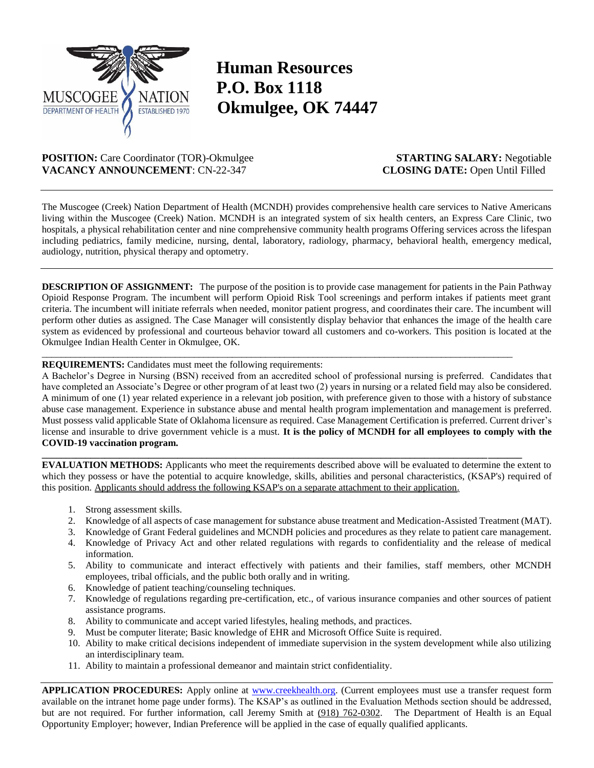

## **Human Resources P.O. Box 1118 Okmulgee, OK 74447**

## **POSITION:** Care Coordinator (TOR)-Okmulgee **STARTING SALARY:** Negotiable **VACANCY ANNOUNCEMENT**: CN-22-347 **CLOSING DATE:** Open Until Filled

The Muscogee (Creek) Nation Department of Health (MCNDH) provides comprehensive health care services to Native Americans living within the Muscogee (Creek) Nation. MCNDH is an integrated system of six health centers, an Express Care Clinic, two hospitals, a physical rehabilitation center and nine comprehensive community health programs Offering services across the lifespan including pediatrics, family medicine, nursing, dental, laboratory, radiology, pharmacy, behavioral health, emergency medical, audiology, nutrition, physical therapy and optometry.

**DESCRIPTION OF ASSIGNMENT:** The purpose of the position is to provide case management for patients in the Pain Pathway Opioid Response Program. The incumbent will perform Opioid Risk Tool screenings and perform intakes if patients meet grant criteria. The incumbent will initiate referrals when needed, monitor patient progress, and coordinates their care. The incumbent will perform other duties as assigned. The Case Manager will consistently display behavior that enhances the image of the health care system as evidenced by professional and courteous behavior toward all customers and co-workers. This position is located at the Okmulgee Indian Health Center in Okmulgee, OK.

 $\_$  ,  $\_$  ,  $\_$  ,  $\_$  ,  $\_$  ,  $\_$  ,  $\_$  ,  $\_$  ,  $\_$  ,  $\_$  ,  $\_$  ,  $\_$  ,  $\_$  ,  $\_$  ,  $\_$  ,  $\_$  ,  $\_$  ,  $\_$  ,  $\_$  ,  $\_$  ,  $\_$  ,  $\_$  ,  $\_$  ,  $\_$  ,  $\_$  ,  $\_$  ,  $\_$  ,  $\_$  ,  $\_$  ,  $\_$  ,  $\_$  ,  $\_$  ,  $\_$  ,  $\_$  ,  $\_$  ,  $\_$  ,  $\_$  ,

## **REQUIREMENTS:** Candidates must meet the following requirements:

A Bachelor's Degree in Nursing (BSN) received from an accredited school of professional nursing is preferred. Candidates that have completed an Associate's Degree or other program of at least two (2) years in nursing or a related field may also be considered. A minimum of one (1) year related experience in a relevant job position, with preference given to those with a history of substance abuse case management. Experience in substance abuse and mental health program implementation and management is preferred. Must possess valid applicable State of Oklahoma licensure as required. Case Management Certification is preferred. Current driver's license and insurable to drive government vehicle is a must. **It is the policy of MCNDH for all employees to comply with the COVID-19 vaccination program.**

**EVALUATION METHODS:** Applicants who meet the requirements described above will be evaluated to determine the extent to which they possess or have the potential to acquire knowledge, skills, abilities and personal characteristics, (KSAP's) required of this position. Applicants should address the following KSAP's on a separate attachment to their application.

**\_\_\_\_\_\_\_\_\_\_\_\_\_\_\_\_\_\_\_\_\_\_\_\_\_\_\_\_\_\_\_\_\_\_\_\_\_\_\_\_\_\_\_\_\_\_\_\_\_\_\_\_\_\_\_\_\_\_\_\_\_\_\_\_\_\_\_\_\_\_\_\_\_\_\_\_\_\_\_\_\_\_\_\_\_\_\_\_\_\_\_\_\_\_\_\_\_\_\_**

- 1. Strong assessment skills.
- 2. Knowledge of all aspects of case management for substance abuse treatment and Medication-Assisted Treatment (MAT).
- 3. Knowledge of Grant Federal guidelines and MCNDH policies and procedures as they relate to patient care management.
- 4. Knowledge of Privacy Act and other related regulations with regards to confidentiality and the release of medical information.
- 5. Ability to communicate and interact effectively with patients and their families, staff members, other MCNDH employees, tribal officials, and the public both orally and in writing.
- 6. Knowledge of patient teaching/counseling techniques.
- 7. Knowledge of regulations regarding pre-certification, etc., of various insurance companies and other sources of patient assistance programs.
- 8. Ability to communicate and accept varied lifestyles, healing methods, and practices.
- 9. Must be computer literate; Basic knowledge of EHR and Microsoft Office Suite is required.
- 10. Ability to make critical decisions independent of immediate supervision in the system development while also utilizing an interdisciplinary team.
- 11. Ability to maintain a professional demeanor and maintain strict confidentiality.

**APPLICATION PROCEDURES:** Apply online at [www.creekhealth.org.](http://www.creekhealth.org/) (Current employees must use a transfer request form available on the intranet home page under forms). The KSAP's as outlined in the Evaluation Methods section should be addressed, but are not required. For further information, call Jeremy Smith at (918) 762-0302. The Department of Health is an Equal Opportunity Employer; however, Indian Preference will be applied in the case of equally qualified applicants.